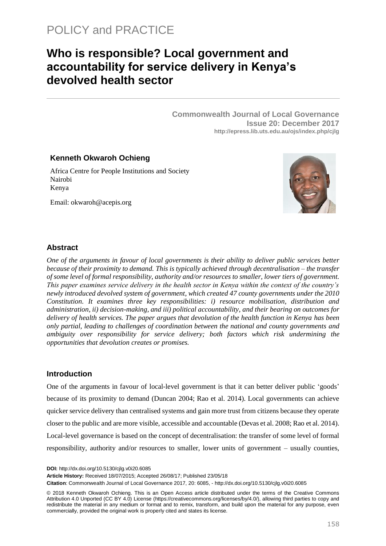# **Who is responsible? Local government and accountability for service delivery in Kenya's devolved health sector**

**Commonwealth Journal of Local Governance Issue 20: December 2017 http://epress.lib.uts.edu.au/ojs/index.php/cjlg**

# **Kenneth Okwaroh Ochieng**

Africa Centre for People Institutions and Society Nairobi Kenya

Email: okwaroh@acepis.org



#### **Abstract**

*One of the arguments in favour of local governments is their ability to deliver public services better because of their proximity to demand. This is typically achieved through decentralisation – the transfer of some level of formal responsibility, authority and/or resources to smaller, lower tiers of government. This paper examines service delivery in the health sector in Kenya within the context of the country's newly introduced devolved system of government, which created 47 county governments under the 2010 Constitution. It examines three key responsibilities: i) resource mobilisation, distribution and administration, ii) decision-making, and iii) political accountability, and their bearing on outcomes for delivery of health services. The paper argues that devolution of the health function in Kenya has been only partial, leading to challenges of coordination between the national and county governments and ambiguity over responsibility for service delivery; both factors which risk undermining the opportunities that devolution creates or promises.* 

#### **Introduction**

One of the arguments in favour of local-level government is that it can better deliver public 'goods' because of its proximity to demand (Duncan 2004; Rao et al. 2014). Local governments can achieve quicker service delivery than centralised systems and gain more trust from citizens because they operate closer to the public and are more visible, accessible and accountable (Devas et al. 2008; Rao et al. 2014). Local-level governance is based on the concept of decentralisation: the transfer of some level of formal responsibility, authority and/or resources to smaller, lower units of government – usually counties,

**DOI:** <http://dx.doi.org/10.5130/cjlg.v0i20.6085>

**Article History:** Received 18/07/2015; Accepted 26/08/17; Published 23/05/18

**Citation**: Commonwealth Journal of Local Governance 2017, 20: 6085, - <http://dx.doi.org/10.5130/cjlg.v0i20.6085>

© 2018 Kenneth Okwaroh Ochieng. This is an Open Access article distributed under the terms of the Creative Commons Attribution 4.0 Unported (CC BY 4.0) License [\(https://creativecommons.org/licenses/by/4.0/\)](https://creativecommons.org/licenses/by/4.0/), allowing third parties to copy and redistribute the material in any medium or format and to remix, transform, and build upon the material for any purpose, even commercially, provided the original work is properly cited and states its license.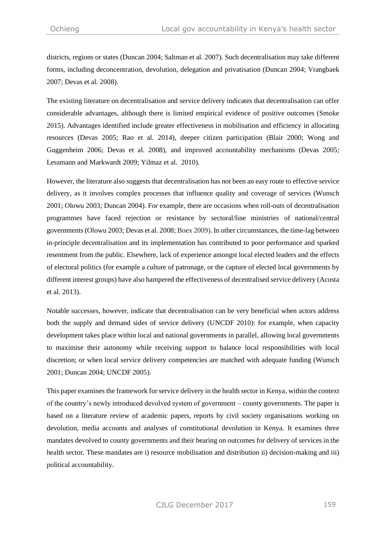districts, regions or states (Duncan 2004; Saltman et al. 2007). Such decentralisation may take different forms, including deconcentration, devolution, delegation and privatisation (Duncan 2004; Vrangbaek 2007; Devas et al. 2008).

The existing literature on decentralisation and service delivery indicates that decentralisation can offer considerable advantages, although there is limited empirical evidence of positive outcomes (Smoke 2015). Advantages identified include greater effectiveness in mobilisation and efficiency in allocating resources (Devas 2005; Rao et al. 2014), deeper citizen participation (Blair 2000; Wong and Guggenheim 2006; Devas et al. 2008), and improved accountability mechanisms (Devas 2005; Lessmann and Markwardt 2009; Yilmaz et al. 2010).

However, the literature also suggests that decentralisation has not been an easy route to effective service delivery, as it involves complex processes that influence quality and coverage of services (Wunsch 2001; Olowu 2003; Duncan 2004). For example, there are occasions when roll-outs of decentralisation programmes have faced rejection or resistance by sectoral/line ministries of national/central governments (Olowu 2003; Devas et al. 2008; Boex 2009). In other circumstances, the time-lag between in-principle decentralisation and its implementation has contributed to poor performance and sparked resentment from the public. Elsewhere, lack of experience amongst local elected leaders and the effects of electoral politics (for example a culture of patronage, or the capture of elected local governments by different interest groups) have also hampered the effectiveness of decentralised service delivery (Acosta et al. 2013).

Notable successes, however, indicate that decentralisation can be very beneficial when actors address both the supply and demand sides of service delivery (UNCDF 2010): for example, when capacity development takes place within local and national governments in parallel, allowing local governments to maximise their autonomy while receiving support to balance local responsibilities with local discretion; or when local service delivery competencies are matched with adequate funding (Wunsch 2001; Duncan 2004; UNCDF 2005).

This paper examines the framework for service delivery in the health sector in Kenya, within the context of the country's newly introduced devolved system of government – county governments. The paper is based on a literature review of academic papers, reports by civil society organisations working on devolution, media accounts and analyses of constitutional devolution in Kenya. It examines three mandates devolved to county governments and their bearing on outcomes for delivery of services in the health sector. These mandates are i) resource mobilisation and distribution ii) decision-making and iii) political accountability.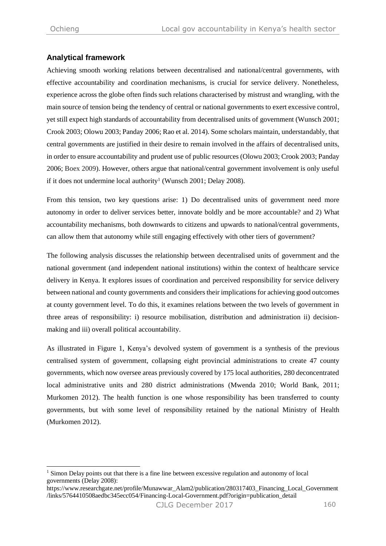$\overline{a}$ 

### **Analytical framework**

Achieving smooth working relations between decentralised and national/central governments, with effective accountability and coordination mechanisms, is crucial for service delivery. Nonetheless, experience across the globe often finds such relations characterised by mistrust and wrangling, with the main source of tension being the tendency of central or national governments to exert excessive control, yet still expect high standards of accountability from decentralised units of government (Wunsch 2001; Crook 2003; Olowu 2003; Panday 2006; Rao et al. 2014). Some scholars maintain, understandably, that central governments are justified in their desire to remain involved in the affairs of decentralised units, in order to ensure accountability and prudent use of public resources (Olowu 2003; Crook 2003; Panday 2006; Boex 2009). However, others argue that national/central government involvement is only useful if it does not undermine local authority<sup>1</sup> (Wunsch 2001; Delay 2008).

From this tension, two key questions arise: 1) Do decentralised units of government need more autonomy in order to deliver services better, innovate boldly and be more accountable? and 2) What accountability mechanisms, both downwards to citizens and upwards to national/central governments, can allow them that autonomy while still engaging effectively with other tiers of government?

The following analysis discusses the relationship between decentralised units of government and the national government (and independent national institutions) within the context of healthcare service delivery in Kenya. It explores issues of coordination and perceived responsibility for service delivery between national and county governments and considers their implications for achieving good outcomes at county government level. To do this, it examines relations between the two levels of government in three areas of responsibility: i) resource mobilisation, distribution and administration ii) decisionmaking and iii) overall political accountability.

As illustrated in Figure 1, Kenya's devolved system of government is a synthesis of the previous centralised system of government, collapsing eight provincial administrations to create 47 county governments, which now oversee areas previously covered by 175 local authorities, 280 deconcentrated local administrative units and 280 district administrations (Mwenda 2010; World Bank, 2011; Murkomen 2012). The health function is one whose responsibility has been transferred to county governments, but with some level of responsibility retained by the national Ministry of Health (Murkomen 2012).

 $<sup>1</sup>$  Simon Delay points out that there is a fine line between excessive regulation and autonomy of local</sup> governments (Delay 2008):

https://www.researchgate.net/profile/Munawwar\_Alam2/publication/280317403\_Financing\_Local\_Government /links/5764410508aedbc345ecc054/Financing-Local-Government.pdf?origin=publication\_detail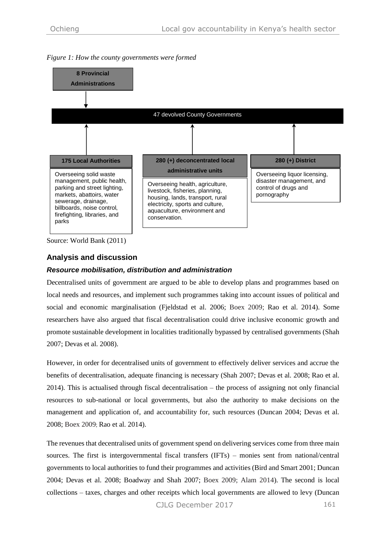

*Figure 1: How the county governments were formed*

Source: World Bank (2011)

# **Analysis and discussion**

#### *Resource mobilisation, distribution and administration*

Decentralised units of government are argued to be able to develop plans and programmes based on local needs and resources, and implement such programmes taking into account issues of political and social and economic marginalisation (Fjeldstad et al. 2006; Boex 2009; Rao et al. 2014). Some researchers have also argued that fiscal decentralisation could drive inclusive economic growth and promote sustainable development in localities traditionally bypassed by centralised governments (Shah 2007; Devas et al. 2008).

However, in order for decentralised units of government to effectively deliver services and accrue the benefits of decentralisation, adequate financing is necessary (Shah 2007; Devas et al. 2008; Rao et al. 2014). This is actualised through fiscal decentralisation – the process of assigning not only financial resources to sub-national or local governments, but also the authority to make decisions on the management and application of, and accountability for, such resources (Duncan 2004; Devas et al. 2008; Boex 2009; Rao et al. 2014).

The revenues that decentralised units of government spend on delivering services come from three main sources. The first is intergovernmental fiscal transfers (IFTs) – monies sent from national/central governments to local authorities to fund their programmes and activities (Bird and Smart 2001; Duncan 2004; Devas et al. 2008; Boadway and Shah 2007; Boex 2009; Alam 2014). The second is local collections – taxes, charges and other receipts which local governments are allowed to levy (Duncan

CJLG December 2017 161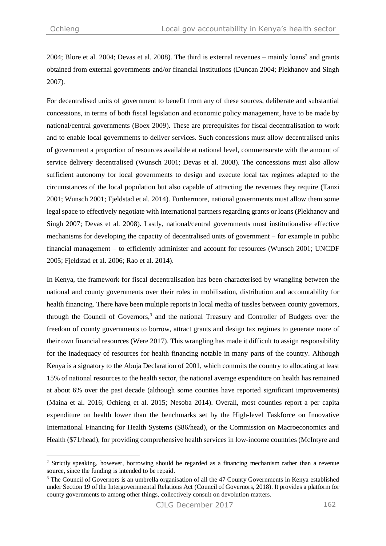-

2004; Blore et al. 2004; Devas et al. 2008). The third is external revenues – mainly loans<sup>2</sup> and grants obtained from external governments and/or financial institutions (Duncan 2004; Plekhanov and Singh 2007).

For decentralised units of government to benefit from any of these sources, deliberate and substantial concessions, in terms of both fiscal legislation and economic policy management, have to be made by national/central governments (Boex 2009). These are prerequisites for fiscal decentralisation to work and to enable local governments to deliver services. Such concessions must allow decentralised units of government a proportion of resources available at national level, commensurate with the amount of service delivery decentralised (Wunsch 2001; Devas et al. 2008). The concessions must also allow sufficient autonomy for local governments to design and execute local tax regimes adapted to the circumstances of the local population but also capable of attracting the revenues they require (Tanzi 2001; Wunsch 2001; Fjeldstad et al. 2014). Furthermore, national governments must allow them some legal space to effectively negotiate with international partners regarding grants or loans (Plekhanov and Singh 2007; Devas et al. 2008). Lastly, national/central governments must institutionalise effective mechanisms for developing the capacity of decentralised units of government – for example in public financial management – to efficiently administer and account for resources (Wunsch 2001; UNCDF 2005; Fjeldstad et al. 2006; Rao et al. 2014).

In Kenya, the framework for fiscal decentralisation has been characterised by wrangling between the national and county governments over their roles in mobilisation, distribution and accountability for health financing. There have been multiple reports in local media of tussles between county governors, through the Council of Governors, <sup>3</sup> and the national Treasury and Controller of Budgets over the freedom of county governments to borrow, attract grants and design tax regimes to generate more of their own financial resources (Were 2017). This wrangling has made it difficult to assign responsibility for the inadequacy of resources for health financing notable in many parts of the country. Although Kenya is a signatory to the Abuja Declaration of 2001, which commits the country to allocating at least 15% of national resources to the health sector, the national average expenditure on health has remained at about 6% over the past decade (although some counties have reported significant improvements) (Maina et al. 2016; Ochieng et al. 2015; Nesoba 2014). Overall, most counties report a per capita expenditure on health lower than the benchmarks set by the High-level Taskforce on Innovative International Financing for Health Systems (\$86/head), or the Commission on Macroeconomics and Health (\$71/head), for providing comprehensive health services in low-income countries (McIntyre and

<sup>&</sup>lt;sup>2</sup> Strictly speaking, however, borrowing should be regarded as a financing mechanism rather than a revenue source, since the funding is intended to be repaid.

<sup>&</sup>lt;sup>3</sup> The Council of Governors is an umbrella organisation of all the 47 County Governments in Kenya established under Section 19 of the Intergovernmental Relations Act (Council of Governors, 2018). It provides a platform for county governments to among other things, collectively consult on devolution matters.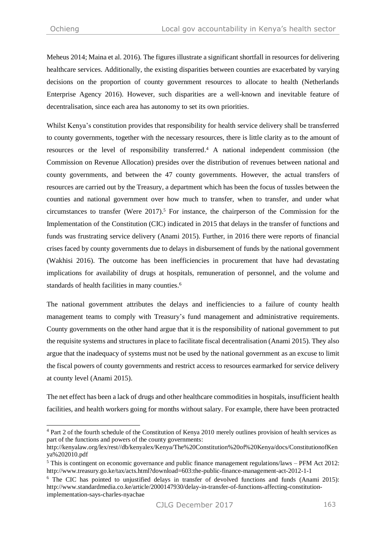$\overline{a}$ 

Meheus 2014; Maina et al. 2016). The figures illustrate a significant shortfall in resources for delivering healthcare services. Additionally, the existing disparities between counties are exacerbated by varying decisions on the proportion of county government resources to allocate to health (Netherlands Enterprise Agency 2016). However, such disparities are a well-known and inevitable feature of decentralisation, since each area has autonomy to set its own priorities.

Whilst Kenya's constitution provides that responsibility for health service delivery shall be transferred to county governments, together with the necessary resources, there is little clarity as to the amount of resources or the level of responsibility transferred. <sup>4</sup> A national independent commission (the Commission on Revenue Allocation) presides over the distribution of revenues between national and county governments, and between the 47 county governments. However, the actual transfers of resources are carried out by the Treasury, a department which has been the focus of tussles between the counties and national government over how much to transfer, when to transfer, and under what circumstances to transfer (Were 2017). <sup>5</sup> For instance, the chairperson of the Commission for the Implementation of the Constitution (CIC) indicated in 2015 that delays in the transfer of functions and funds was frustrating service delivery (Anami 2015). Further, in 2016 there were reports of financial crises faced by county governments due to delays in disbursement of funds by the national government (Wakhisi 2016). The outcome has been inefficiencies in procurement that have had devastating implications for availability of drugs at hospitals, remuneration of personnel, and the volume and standards of health facilities in many counties.<sup>6</sup>

The national government attributes the delays and inefficiencies to a failure of county health management teams to comply with Treasury's fund management and administrative requirements. County governments on the other hand argue that it is the responsibility of national government to put the requisite systems and structures in place to facilitate fiscal decentralisation (Anami 2015). They also argue that the inadequacy of systems must not be used by the national government as an excuse to limit the fiscal powers of county governments and restrict access to resources earmarked for service delivery at county level (Anami 2015).

The net effect has been a lack of drugs and other healthcare commodities in hospitals, insufficient health facilities, and health workers going for months without salary. For example, there have been protracted

<sup>4</sup> Part 2 of the fourth schedule of the Constitution of Kenya 2010 merely outlines provision of health services as part of the functions and powers of the county governments:

[http://kenyalaw.org/lex/rest//db/kenyalex/Kenya/The%20Constitution%20of%20Kenya/docs/ConstitutionofKen](http://kenyalaw.org/lex/rest/db/kenyalex/Kenya/The%20Constitution%20of%20Kenya/docs/ConstitutionofKenya%202010.pdf) [ya%202010.pdf](http://kenyalaw.org/lex/rest/db/kenyalex/Kenya/The%20Constitution%20of%20Kenya/docs/ConstitutionofKenya%202010.pdf)

<sup>5</sup> This is contingent on economic governance and public finance management regulations/laws – PFM Act 2012: <http://www.treasury.go.ke/tax/acts.html?download=603:the-public-finance-management-act-2012-1-1>

<sup>6</sup> The CIC has pointed to unjustified delays in transfer of devolved functions and funds (Anami 2015): [http://www.standardmedia.co.ke/article/2000147930/delay-in-transfer-of-functions-affecting-constitution](http://www.standardmedia.co.ke/article/2000147930/delay-in-transfer-of-functions-affecting-constitution-implementation-says-charles-nyachae)[implementation-says-charles-nyachae](http://www.standardmedia.co.ke/article/2000147930/delay-in-transfer-of-functions-affecting-constitution-implementation-says-charles-nyachae)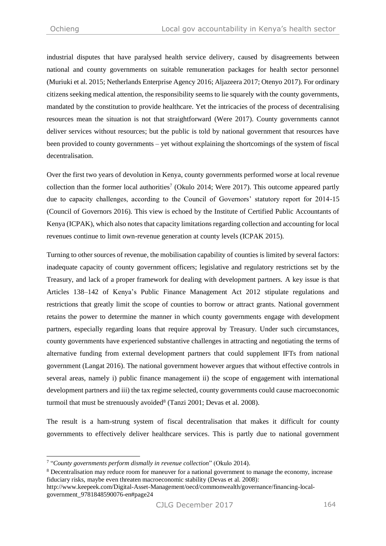industrial disputes that have paralysed health service delivery, caused by disagreements between national and county governments on suitable remuneration packages for health sector personnel (Muriuki et al. 2015; Netherlands Enterprise Agency 2016; Aljazeera 2017; Otenyo 2017). For ordinary citizensseeking medical attention, the responsibility seems to lie squarely with the county governments, mandated by the constitution to provide healthcare. Yet the intricacies of the process of decentralising resources mean the situation is not that straightforward (Were 2017). County governments cannot deliver services without resources; but the public is told by national government that resources have been provided to county governments – yet without explaining the shortcomings of the system of fiscal decentralisation.

Over the first two years of devolution in Kenya, county governments performed worse at local revenue collection than the former local authorities<sup>7</sup> (Okulo 2014; Were 2017). This outcome appeared partly due to capacity challenges, according to the Council of Governors' statutory report for 2014-15 (Council of Governors 2016). This view is echoed by the Institute of Certified Public Accountants of Kenya (ICPAK), which also notes that capacity limitations regarding collection and accounting for local revenues continue to limit own-revenue generation at county levels (ICPAK 2015).

Turning to other sources of revenue, the mobilisation capability of counties is limited by several factors: inadequate capacity of county government officers; legislative and regulatory restrictions set by the Treasury, and lack of a proper framework for dealing with development partners. A key issue is that Articles 138–142 of Kenya's Public Finance Management Act 2012 stipulate regulations and restrictions that greatly limit the scope of counties to borrow or attract grants. National government retains the power to determine the manner in which county governments engage with development partners, especially regarding loans that require approval by Treasury. Under such circumstances, county governments have experienced substantive challenges in attracting and negotiating the terms of alternative funding from external development partners that could supplement IFTs from national government (Langat 2016). The national government however argues that without effective controls in several areas, namely i) public finance management ii) the scope of engagement with international development partners and iii) the tax regime selected, county governments could cause macroeconomic turmoil that must be strenuously avoided<sup>8</sup> (Tanzi 2001; Devas et al. 2008).

The result is a ham-strung system of fiscal decentralisation that makes it difficult for county governments to effectively deliver healthcare services. This is partly due to national government

 $\overline{a}$ 7 "*County governments perform dismally in revenue collection*" (Okulo 2014).

<sup>8</sup> Decentralisation may reduce room for maneuver for a national government to manage the economy, increase fiduciary risks, maybe even threaten macroeconomic stability (Devas et al. 2008):

[http://www.keepeek.com/Digital-Asset-Management/oecd/commonwealth/governance/financing-local](http://www.keepeek.com/Digital-Asset-Management/oecd/commonwealth/governance/financing-local-government_9781848590076-en#page24)[government\\_9781848590076-en#page24](http://www.keepeek.com/Digital-Asset-Management/oecd/commonwealth/governance/financing-local-government_9781848590076-en#page24)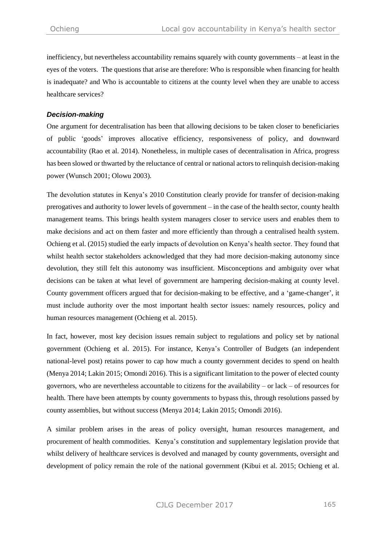inefficiency, but nevertheless accountability remains squarely with county governments – at least in the eyes of the voters. The questions that arise are therefore: Who is responsible when financing for health is inadequate? and Who is accountable to citizens at the county level when they are unable to access healthcare services?

#### *Decision-making*

One argument for decentralisation has been that allowing decisions to be taken closer to beneficiaries of public 'goods' improves allocative efficiency, responsiveness of policy, and downward accountability (Rao et al. 2014). Nonetheless, in multiple cases of decentralisation in Africa, progress has been slowed or thwarted by the reluctance of central or national actors to relinquish decision-making power (Wunsch 2001; Olowu 2003).

The devolution statutes in Kenya's 2010 Constitution clearly provide for transfer of decision-making prerogatives and authority to lower levels of government – in the case of the health sector, county health management teams. This brings health system managers closer to service users and enables them to make decisions and act on them faster and more efficiently than through a centralised health system. Ochieng et al. (2015) studied the early impacts of devolution on Kenya's health sector. They found that whilst health sector stakeholders acknowledged that they had more decision-making autonomy since devolution, they still felt this autonomy was insufficient. Misconceptions and ambiguity over what decisions can be taken at what level of government are hampering decision-making at county level. County government officers argued that for decision-making to be effective, and a 'game-changer', it must include authority over the most important health sector issues: namely resources, policy and human resources management (Ochieng et al. 2015).

In fact, however, most key decision issues remain subject to regulations and policy set by national government (Ochieng et al. 2015). For instance, Kenya's Controller of Budgets (an independent national-level post) retains power to cap how much a county government decides to spend on health (Menya 2014; Lakin 2015; Omondi 2016). This is a significant limitation to the power of elected county governors, who are nevertheless accountable to citizens for the availability – or lack – of resources for health. There have been attempts by county governments to bypass this, through resolutions passed by county assemblies, but without success (Menya 2014; Lakin 2015; Omondi 2016).

A similar problem arises in the areas of policy oversight, human resources management, and procurement of health commodities. Kenya's constitution and supplementary legislation provide that whilst delivery of healthcare services is devolved and managed by county governments, oversight and development of policy remain the role of the national government (Kibui et al. 2015; Ochieng et al.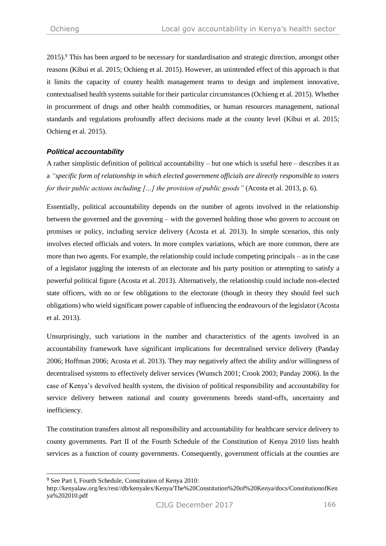2015). <sup>9</sup> This has been argued to be necessary for standardisation and strategic direction, amongst other reasons (Kibui et al. 2015; Ochieng et al. 2015). However, an unintended effect of this approach is that it limits the capacity of county health management teams to design and implement innovative, contextualised health systems suitable for their particular circumstances (Ochieng et al. 2015). Whether in procurement of drugs and other health commodities, or human resources management, national standards and regulations profoundly affect decisions made at the county level (Kibui et al. 2015; Ochieng et al. 2015).

# *Political accountability*

A rather simplistic definition of political accountability – but one which is useful here – describes it as a *"specific form of relationship in which elected government officials are directly responsible to voters for their public actions including […] the provision of public goods"* (Acosta et al. 2013, p. 6).

Essentially, political accountability depends on the number of agents involved in the relationship between the governed and the governing – with the governed holding those who govern to account on promises or policy, including service delivery (Acosta et al. 2013). In simple scenarios, this only involves elected officials and voters. In more complex variations, which are more common, there are more than two agents. For example, the relationship could include competing principals – as in the case of a legislator juggling the interests of an electorate and his party position or attempting to satisfy a powerful political figure (Acosta et al. 2013). Alternatively, the relationship could include non-elected state officers, with no or few obligations to the electorate (though in theory they should feel such obligations) who wield significant power capable of influencing the endeavours of the legislator (Acosta et al. 2013).

Unsurprisingly, such variations in the number and characteristics of the agents involved in an accountability framework have significant implications for decentralised service delivery (Panday 2006; Hoffman 2006; Acosta et al. 2013). They may negatively affect the ability and/or willingness of decentralised systems to effectively deliver services (Wunsch 2001; Crook 2003; Panday 2006). In the case of Kenya's devolved health system, the division of political responsibility and accountability for service delivery between national and county governments breeds stand-offs, uncertainty and inefficiency.

The constitution transfers almost all responsibility and accountability for healthcare service delivery to county governments. Part II of the Fourth Schedule of the Constitution of Kenya 2010 lists health services as a function of county governments. Consequently, government officials at the counties are

 $\overline{a}$ 

<sup>9</sup> See Part I, Fourth Schedule, Constitution of Kenya 2010:

[http://kenyalaw.org/lex/rest//db/kenyalex/Kenya/The%20Constitution%20of%20Kenya/docs/ConstitutionofKen](http://kenyalaw.org/lex/rest/db/kenyalex/Kenya/The%20Constitution%20of%20Kenya/docs/ConstitutionofKenya%202010.pdf) [ya%202010.pdf](http://kenyalaw.org/lex/rest/db/kenyalex/Kenya/The%20Constitution%20of%20Kenya/docs/ConstitutionofKenya%202010.pdf)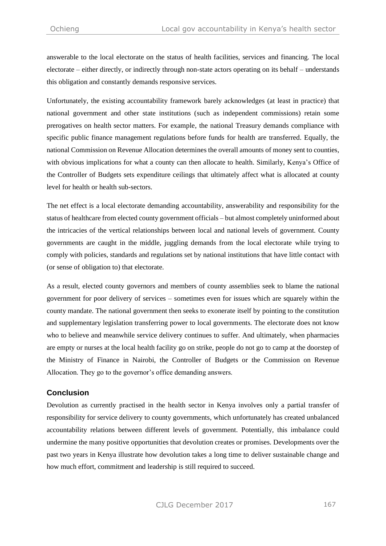answerable to the local electorate on the status of health facilities, services and financing. The local electorate – either directly, or indirectly through non-state actors operating on its behalf – understands this obligation and constantly demands responsive services.

Unfortunately, the existing accountability framework barely acknowledges (at least in practice) that national government and other state institutions (such as independent commissions) retain some prerogatives on health sector matters. For example, the national Treasury demands compliance with specific public finance management regulations before funds for health are transferred. Equally, the national Commission on Revenue Allocation determines the overall amounts of money sent to counties, with obvious implications for what a county can then allocate to health. Similarly, Kenya's Office of the Controller of Budgets sets expenditure ceilings that ultimately affect what is allocated at county level for health or health sub-sectors.

The net effect is a local electorate demanding accountability, answerability and responsibility for the status of healthcare from elected county government officials – but almost completely uninformed about the intricacies of the vertical relationships between local and national levels of government. County governments are caught in the middle, juggling demands from the local electorate while trying to comply with policies, standards and regulations set by national institutions that have little contact with (or sense of obligation to) that electorate.

As a result, elected county governors and members of county assemblies seek to blame the national government for poor delivery of services – sometimes even for issues which are squarely within the county mandate. The national government then seeks to exonerate itself by pointing to the constitution and supplementary legislation transferring power to local governments. The electorate does not know who to believe and meanwhile service delivery continues to suffer. And ultimately, when pharmacies are empty or nurses at the local health facility go on strike, people do not go to camp at the doorstep of the Ministry of Finance in Nairobi, the Controller of Budgets or the Commission on Revenue Allocation. They go to the governor's office demanding answers.

# **Conclusion**

Devolution as currently practised in the health sector in Kenya involves only a partial transfer of responsibility for service delivery to county governments, which unfortunately has created unbalanced accountability relations between different levels of government. Potentially, this imbalance could undermine the many positive opportunities that devolution creates or promises. Developments over the past two years in Kenya illustrate how devolution takes a long time to deliver sustainable change and how much effort, commitment and leadership is still required to succeed.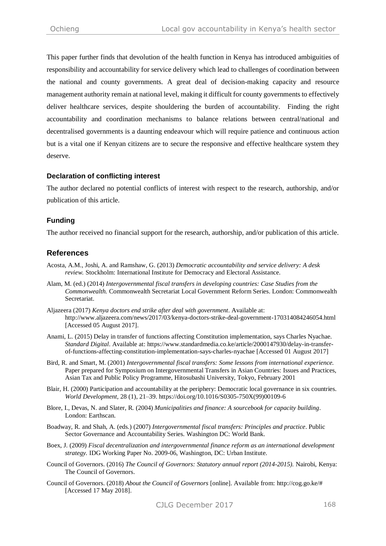This paper further finds that devolution of the health function in Kenya has introduced ambiguities of responsibility and accountability for service delivery which lead to challenges of coordination between the national and county governments. A great deal of decision-making capacity and resource management authority remain at national level, making it difficult for county governments to effectively deliver healthcare services, despite shouldering the burden of accountability. Finding the right accountability and coordination mechanisms to balance relations between central/national and decentralised governments is a daunting endeavour which will require patience and continuous action but is a vital one if Kenyan citizens are to secure the responsive and effective healthcare system they deserve.

#### **Declaration of conflicting interest**

The author declared no potential conflicts of interest with respect to the research, authorship, and/or publication of this article.

#### **Funding**

The author received no financial support for the research, authorship, and/or publication of this article.

# **References**

- Acosta, A.M., Joshi, A. and Ramshaw, G. (2013) *Democratic accountability and service delivery: A desk review.* Stockholm: International Institute for Democracy and Electoral Assistance.
- Alam, M. (ed.) (2014) *Intergovernmental fiscal transfers in developing countries: Case Studies from the Commonwealth.* Commonwealth Secretariat Local Government Reform Series. London: Commonwealth Secretariat.
- Aljazeera (2017) *Kenya doctors end strike after deal with government*. Available at: <http://www.aljazeera.com/news/2017/03/kenya-doctors-strike-deal-government-170314084246054.html> [Accessed 05 August 2017].
- Anami, L. (2015) Delay in transfer of functions affecting Constitution implementation, says Charles Nyachae. *Standard Digital*. Available at[: https://www.standardmedia.co.ke/article/2000147930/delay-in-transfer](https://www.standardmedia.co.ke/article/2000147930/delay-in-transfer-of-functions-affecting-constitution-implementation-says-charles-nyachae)[of-functions-affecting-constitution-implementation-says-charles-nyachae](https://www.standardmedia.co.ke/article/2000147930/delay-in-transfer-of-functions-affecting-constitution-implementation-says-charles-nyachae) [Accessed 01 August 2017]
- Bird, R. and Smart, M. (2001) *Intergovernmental fiscal transfers: Some lessons from international experience.* Paper prepared for Symposium on Intergovernmental Transfers in Asian Countries: Issues and Practices, Asian Tax and Public Policy Programme, Hitosubashi University, Tokyo, February 2001
- Blair, H. (2000) Participation and accountability at the periphery: Democratic local governance in six countries. *World Development,* 28 (1), 21–39. [https://doi.org/10.1016/S0305-750X\(99\)00109-6](https://doi.org/10.1016/S0305-750X(99)00109-6)
- Blore, I., Devas, N. and Slater, R. (2004) *Municipalities and finance: A sourcebook for capacity building*. London: Earthscan.
- Boadway, R. and Shah, A. (eds.) (2007) *Intergovernmental fiscal transfers: Principles and practice*. Public Sector Governance and Accountability Series. Washington DC: World Bank.
- Boex, J. (2009) *Fiscal decentralization and intergovernmental finance reform as an international development strategy.* IDG Working Paper No. 2009-06, Washington, DC: Urban Institute.
- Council of Governors. (2016) *The Council of Governors: Statutory annual report (2014-2015).* Nairobi, Kenya: The Council of Governors.
- Council of Governors. (2018) *About the Council of Governors* [online]. Available from: [http://cog.go.ke/#](http://cog.go.ke/) [Accessed 17 May 2018].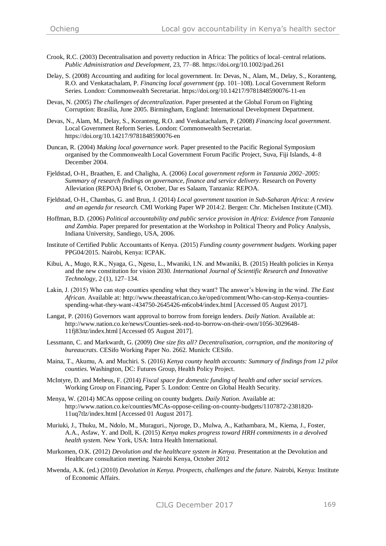- Crook, R.C. (2003) Decentralisation and poverty reduction in Africa: The politics of local–central relations. *Public Administration and Development*, 23, 77–88. <https://doi.org/10.1002/pad.261>
- Delay, S. (2008) Accounting and auditing for local government*.* In: Devas, N., Alam, M., Delay, S., Koranteng, R.O. and Venkatachalam, P. *Financing local government* (pp. 101–108). Local Government Reform Series. London: Commonwealth Secretariat.<https://doi.org/10.14217/9781848590076-11-en>
- Devas, N. (2005) *The challenges of decentralization*. Paper presented at the Global Forum on Fighting Corruption: Brasília, June 2005. Birmingham, England: International Development Department.
- Devas, N., Alam, M., Delay, S., Koranteng, R.O. and Venkatachalam, P. (2008) *Financing local government*. Local Government Reform Series. London: Commonwealth Secretariat. <https://doi.org/10.14217/9781848590076-en>
- Duncan, R. (2004) *Making local governance work*. Paper presented to the Pacific Regional Symposium organised by the Commonwealth Local Government Forum Pacific Project, Suva, Fiji Islands, 4–8 December 2004.
- Fjeldstad, O-H., Braathen, E. and Chaligha, A. (2006) *Local government reform in Tanzania 2002–2005: Summary of research findings on governance, finance and service delivery*. Research on Poverty Alleviation (REPOA) Brief 6, October, Dar es Salaam, Tanzania: REPOA.
- Fjeldstad, O-H., Chambas, G. and Brun, J. (2014) *Local government taxation in Sub-Saharan Africa: A review and an agenda for research.* CMI Working Paper WP 2014:2. Bergen: Chr. Michelsen Institute (CMI).
- Hoffman, B.D. (2006) *Political accountability and public service provision in Africa: Evidence from Tanzania and Zambia.* Paper prepared for presentation at the Workshop in Political Theory and Policy Analysis, Indiana University, Sandiego, USA, 2006.
- Institute of Certified Public Accountants of Kenya. (2015) *Funding county government budgets*. Working paper PPG04/2015. Nairobi, Kenya: ICPAK.
- Kibui, A., Mugo, R.K., Nyaga, G., Ngesu, L., Mwaniki, I.N. and Mwaniki, B. (2015) Health policies in Kenya and the new constitution for vision 2030. *International Journal of Scientific Research and Innovative Technology*, 2 (1), 127–134.
- Lakin, J. (2015) Who can stop counties spending what they want? The answer's blowing in the wind. *The East African*. Available at: [http://www.theeastafrican.co.ke/oped/comment/Who-can-stop-Kenya-counties](http://www.theeastafrican.co.ke/oped/comment/Who-can-stop-Kenya-counties-spending-what-they-want-/434750-2645426-m6cob4/index.html)[spending-what-they-want-/434750-2645426-m6cob4/index.html](http://www.theeastafrican.co.ke/oped/comment/Who-can-stop-Kenya-counties-spending-what-they-want-/434750-2645426-m6cob4/index.html) [Accessed 05 August 2017].
- Langat, P. (2016) Governors want approval to borrow from foreign lenders. *Daily Nation*. Available at: [http://www.nation.co.ke/news/Counties-seek-nod-to-borrow-on-their-own/1056-3029648-](http://www.nation.co.ke/news/Counties-seek-nod-to-borrow-on-their-own/1056-3029648-11fj83nz/index.html) [11fj83nz/index.html](http://www.nation.co.ke/news/Counties-seek-nod-to-borrow-on-their-own/1056-3029648-11fj83nz/index.html) [Accessed 05 August 2017].
- Lessmann, C. and Markwardt, G. (2009) *One size fits all? Decentralisation, corruption, and the monitoring of bureaucrats*. CESifo Working Paper No. 2662. Munich: CESifo.
- Maina, T., Akumu, A. and Muchiri. S. (2016) *Kenya county health accounts: Summary of findings from 12 pilot counties.* Washington, DC: Futures Group, Health Policy Project.
- McIntyre, D. and Meheus, F. (2014) *Fiscal space for domestic funding of health and other social service*s. Working Group on Financing, Paper 5. London: Centre on Global Health Security.
- Menya, W. (2014) MCAs oppose ceiling on county budgets. *Daily Nation*. Available at: [http://www.nation.co.ke/counties/MCAs-oppose-ceiling-on-county-budgets/1107872-2381820-](http://www.nation.co.ke/counties/MCAs-oppose-ceiling-on-county-budgets/1107872-2381820-11uq7tlz/index.html) [11uq7tlz/index.html](http://www.nation.co.ke/counties/MCAs-oppose-ceiling-on-county-budgets/1107872-2381820-11uq7tlz/index.html) [Accessed 01 August 2017].
- Muriuki, J., Thuku, M., Ndolo, M., Muraguri., Njoroge, D., Mulwa, A., Kathambara, M., Kiema, J., Foster, A.A., Asfaw, Y. and Doll, K. (2015) *Kenya makes progress toward HRH commitments in a devolved health system*. New York, USA: Intra Health International.
- Murkomen, O.K. (2012) *Devolution and the healthcare system in Kenya*. Presentation at the Devolution and Healthcare consultation meeting. Nairobi Kenya, October 2012
- Mwenda, A.K. (ed.) (2010) *Devolution in Kenya. Prospects, challenges and the future.* Nairobi, Kenya: Institute of Economic Affairs.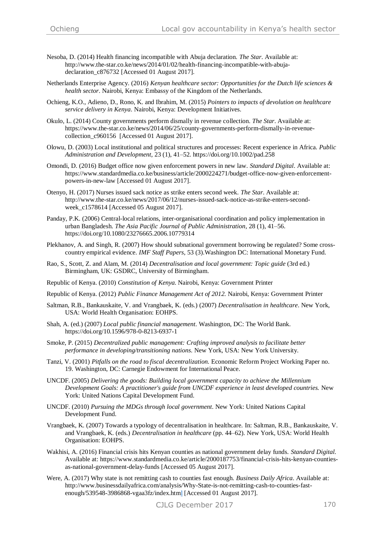- Nesoba, D. (2014) Health financing incompatible with Abuja declaration. *The Star*. Available at: [http://www.the-star.co.ke/news/2014/01/02/health-financing-incompatible-with-abuja](http://www.the-star.co.ke/news/2014/01/02/health-financing-incompatible-with-abuja-declaration_c876732)declaration  $c876732$  [Accessed 01 August 2017].
- Netherlands Enterprise Agency. (2016) *Kenyan healthcare sector: Opportunities for the Dutch life sciences & health sector*. Nairobi, Kenya: Embassy of the Kingdom of the Netherlands.
- Ochieng, K.O., Adieno, D., Rono, K. and Ibrahim, M. (2015) *Pointers to impacts of devolution on healthcare service delivery in Kenya*. Nairobi, Kenya: Development Initiatives.
- Okulo, L. (2014) County governments perform dismally in revenue collection. *The Star*. Available at: https://www.the-star.co.ke/news/2014/06/25/county-governments-perform-dismally-in-revenuecollection\_c960156 [Accessed 01 August 2017].
- Olowu, D. (2003) Local institutional and political structures and processes: Recent experience in Africa. *Public Administration and Development*, 23 (1), 41–52. <https://doi.org/10.1002/pad.258>
- Omondi, D. (2016) Budget office now given enforcement powers in new law. *Standard Digital*. Available at: [https://www.standardmedia.co.ke/business/article/2000224271/budget-office-now-given-enforcement](https://www.standardmedia.co.ke/business/article/2000224271/budget-office-now-given-enforcement-powers-in-new-law)[powers-in-new-law](https://www.standardmedia.co.ke/business/article/2000224271/budget-office-now-given-enforcement-powers-in-new-law) [Accessed 01 August 2017].
- Otenyo, H. (2017) Nurses issued sack notice as strike enters second week. *The Star*. Available at: [http://www.the-star.co.ke/news/2017/06/12/nurses-issued-sack-notice-as-strike-enters-second](http://www.the-star.co.ke/news/2017/06/12/nurses-issued-sack-notice-as-strike-enters-second-week_c1578614)[week\\_c1578614](http://www.the-star.co.ke/news/2017/06/12/nurses-issued-sack-notice-as-strike-enters-second-week_c1578614) [Accessed 05 August 2017].
- Panday, P.K. (2006) Central-local relations, inter-organisational coordination and policy implementation in urban Bangladesh. *The Asia Pacific Journal of Public Administration*, 28 (1), 41–56. <https://doi.org/10.1080/23276665.2006.10779314>
- Plekhanov, A. and Singh, R. (2007) How should subnational government borrowing be regulated? Some crosscountry empirical evidence. *IMF Staff Papers*, 53 (3).Washington DC: International Monetary Fund.
- Rao, S., Scott, Z. and Alam, M. (2014) *Decentralisation and local government: Topic guide* (3rd ed.) Birmingham, UK: GSDRC, University of Birmingham.
- Republic of Kenya. (2010) *Constitution of Kenya.* Nairobi, Kenya: Government Printer
- Republic of Kenya. (2012) *Public Finance Management Act of 2012.* Nairobi, Kenya: Government Printer
- Saltman, R.B., Bankauskaite, V. and Vrangbaek, K. (eds.) (2007) *Decentralisation in healthcare*. New York, USA: World Health Organisation: EOHPS.
- Shah, A. (ed.) (2007) *Local public financial management*. Washington, DC: The World Bank. <https://doi.org/10.1596/978-0-8213-6937-1>
- Smoke, P. (2015) *Decentralized public management: Crafting improved analysis to facilitate better performance in developing/transitioning nations.* New York, USA: New York University.
- Tanzi, V. (2001) *Pitfalls on the road to fiscal decentralization.* Economic Reform Project Working Paper no. 19. Washington, DC: Carnegie Endowment for International Peace.
- UNCDF. (2005) *Delivering the goods: Building local government capacity to achieve the Millennium Development Goals: A practitioner's guide from UNCDF experience in least developed countries.* New York: United Nations Capital Development Fund.
- UNCDF. (2010) *Pursuing the MDGs through local government*. New York: United Nations Capital Development Fund.
- Vrangbaek, K. (2007) Towards a typology of decentralisation in healthcare. In: Saltman, R.B., Bankauskaite, V. and Vrangbaek, K. (eds.) *Decentralisation in healthcare* (pp. 44–62). New York, USA: World Health Organisation: EOHPS.
- Wakhisi, A. (2016) Financial crisis hits Kenyan counties as national government delay funds. *Standard Digital.* Available at: [https://www.standardmedia.co.ke/article/2000187753/financial-crisis-hits-kenyan-counties](https://www.standardmedia.co.ke/article/2000187753/financial-crisis-hits-kenyan-counties-as-national-government-delay-funds)[as-national-government-delay-funds](https://www.standardmedia.co.ke/article/2000187753/financial-crisis-hits-kenyan-counties-as-national-government-delay-funds) [Accessed 05 August 2017].
- Were, A. (2017) Why state is not remitting cash to counties fast enough. *Business Daily Africa*. Available at: [http://www.businessdailyafrica.com/analysis/Why-State-is-not-remitting-cash-to-counties-fast](http://www.businessdailyafrica.com/analysis/Why-State-is-not-remitting-cash-to-counties-fast-enough/539548-3986868-vgaa3fz/index.html)[enough/539548-3986868-vgaa3fz/index.html](http://www.businessdailyafrica.com/analysis/Why-State-is-not-remitting-cash-to-counties-fast-enough/539548-3986868-vgaa3fz/index.html) [Accessed 01 August 2017].

CJLG December 2017 170